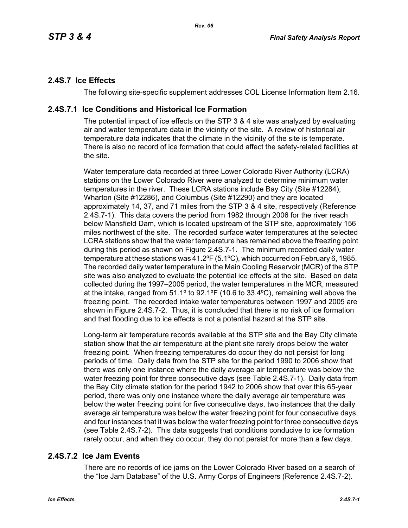# **2.4S.7 Ice Effects**

The following site-specific supplement addresses COL License Information Item 2.16.

# **2.4S.7.1 Ice Conditions and Historical Ice Formation**

The potential impact of ice effects on the STP 3 & 4 site was analyzed by evaluating air and water temperature data in the vicinity of the site. A review of historical air temperature data indicates that the climate in the vicinity of the site is temperate. There is also no record of ice formation that could affect the safety-related facilities at the site.

Water temperature data recorded at three Lower Colorado River Authority (LCRA) stations on the Lower Colorado River were analyzed to determine minimum water temperatures in the river. These LCRA stations include Bay City (Site #12284), Wharton (Site #12286), and Columbus (Site #12290) and they are located approximately 14, 37, and 71 miles from the STP 3 & 4 site, respectively (Reference 2.4S.7-1). This data covers the period from 1982 through 2006 for the river reach below Mansfield Dam, which is located upstream of the STP site, approximately 156 miles northwest of the site. The recorded surface water temperatures at the selected LCRA stations show that the water temperature has remained above the freezing point during this period as shown on Figure 2.4S.7-1. The minimum recorded daily water temperature at these stations was 41.2ºF (5.1ºC), which occurred on February 6, 1985. The recorded daily water temperature in the Main Cooling Reservoir (MCR) of the STP site was also analyzed to evaluate the potential ice effects at the site. Based on data collected during the 1997–2005 period, the water temperatures in the MCR, measured at the intake, ranged from 51.1º to 92.1ºF (10.6 to 33.4ºC), remaining well above the freezing point. The recorded intake water temperatures between 1997 and 2005 are shown in Figure 2.4S.7-2. Thus, it is concluded that there is no risk of ice formation and that flooding due to ice effects is not a potential hazard at the STP site.

Long-term air temperature records available at the STP site and the Bay City climate station show that the air temperature at the plant site rarely drops below the water freezing point. When freezing temperatures do occur they do not persist for long periods of time. Daily data from the STP site for the period 1990 to 2006 show that there was only one instance where the daily average air temperature was below the water freezing point for three consecutive days (see Table 2.4S.7-1). Daily data from the Bay City climate station for the period 1942 to 2006 show that over this 65-year period, there was only one instance where the daily average air temperature was below the water freezing point for five consecutive days, two instances that the daily average air temperature was below the water freezing point for four consecutive days, and four instances that it was below the water freezing point for three consecutive days (see Table 2.4S.7-2). This data suggests that conditions conducive to ice formation rarely occur, and when they do occur, they do not persist for more than a few days.

# **2.4S.7.2 Ice Jam Events**

There are no records of ice jams on the Lower Colorado River based on a search of the "Ice Jam Database" of the U.S. Army Corps of Engineers (Reference 2.4S.7-2).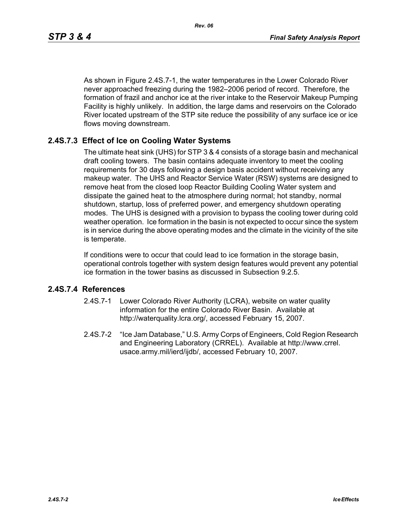As shown in Figure 2.4S.7-1, the water temperatures in the Lower Colorado River never approached freezing during the 1982–2006 period of record. Therefore, the formation of frazil and anchor ice at the river intake to the Reservoir Makeup Pumping Facility is highly unlikely. In addition, the large dams and reservoirs on the Colorado River located upstream of the STP site reduce the possibility of any surface ice or ice flows moving downstream.

## **2.4S.7.3 Effect of Ice on Cooling Water Systems**

The ultimate heat sink (UHS) for STP 3 & 4 consists of a storage basin and mechanical draft cooling towers. The basin contains adequate inventory to meet the cooling requirements for 30 days following a design basis accident without receiving any makeup water. The UHS and Reactor Service Water (RSW) systems are designed to remove heat from the closed loop Reactor Building Cooling Water system and dissipate the gained heat to the atmosphere during normal; hot standby, normal shutdown, startup, loss of preferred power, and emergency shutdown operating modes. The UHS is designed with a provision to bypass the cooling tower during cold weather operation. Ice formation in the basin is not expected to occur since the system is in service during the above operating modes and the climate in the vicinity of the site is temperate.

If conditions were to occur that could lead to ice formation in the storage basin, operational controls together with system design features would prevent any potential ice formation in the tower basins as discussed in Subsection 9.2.5.

#### **2.4S.7.4 References**

- 2.4S.7-1 Lower Colorado River Authority (LCRA), website on water quality information for the entire Colorado River Basin. Available at http://waterquality.lcra.org/, accessed February 15, 2007.
- 2.4S.7-2 "Ice Jam Database," U.S. Army Corps of Engineers, Cold Region Research and Engineering Laboratory (CRREL). Available at http://www.crrel. usace.army.mil/ierd/ijdb/, accessed February 10, 2007.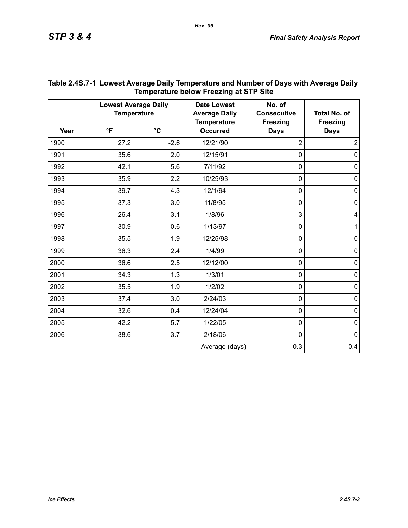| Year | <b>Lowest Average Daily</b><br><b>Temperature</b> |                 | <b>Date Lowest</b><br><b>Average Daily</b> | No. of<br><b>Consecutive</b>   | <b>Total No. of</b>            |
|------|---------------------------------------------------|-----------------|--------------------------------------------|--------------------------------|--------------------------------|
|      | $\mathsf{P}$                                      | $\rm ^{\circ}C$ | <b>Temperature</b><br><b>Occurred</b>      | <b>Freezing</b><br><b>Days</b> | <b>Freezing</b><br><b>Days</b> |
| 1990 | 27.2                                              | $-2.6$          | 12/21/90                                   | $\overline{2}$                 | $\overline{2}$                 |
| 1991 | 35.6                                              | 2.0             | 12/15/91                                   | $\mathbf 0$                    | $\mathbf 0$                    |
| 1992 | 42.1                                              | 5.6             | 7/11/92                                    | $\mathbf 0$                    | $\pmb{0}$                      |
| 1993 | 35.9                                              | 2.2             | 10/25/93                                   | $\mathbf 0$                    | $\mathbf 0$                    |
| 1994 | 39.7                                              | 4.3             | 12/1/94                                    | $\mathbf 0$                    | 0                              |
| 1995 | 37.3                                              | 3.0             | 11/8/95                                    | $\mathbf 0$                    | $\pmb{0}$                      |
| 1996 | 26.4                                              | $-3.1$          | 1/8/96                                     | 3                              | 4                              |
| 1997 | 30.9                                              | $-0.6$          | 1/13/97                                    | $\mathbf 0$                    | $\mathbf{1}$                   |
| 1998 | 35.5                                              | 1.9             | 12/25/98                                   | $\mathbf 0$                    | $\pmb{0}$                      |
| 1999 | 36.3                                              | 2.4             | 1/4/99                                     | $\mathbf 0$                    | $\pmb{0}$                      |
| 2000 | 36.6                                              | 2.5             | 12/12/00                                   | $\mathbf 0$                    | $\pmb{0}$                      |
| 2001 | 34.3                                              | 1.3             | 1/3/01                                     | $\mathbf 0$                    | $\mathbf 0$                    |
| 2002 | 35.5                                              | 1.9             | 1/2/02                                     | $\mathbf 0$                    | $\mathsf 0$                    |
| 2003 | 37.4                                              | 3.0             | 2/24/03                                    | $\mathbf 0$                    | $\mathbf 0$                    |
| 2004 | 32.6                                              | 0.4             | 12/24/04                                   | $\mathbf 0$                    | $\pmb{0}$                      |
| 2005 | 42.2                                              | 5.7             | 1/22/05                                    | $\mathbf 0$                    | $\pmb{0}$                      |
| 2006 | 38.6                                              | 3.7             | 2/18/06                                    | $\mathbf 0$                    | $\mathbf 0$                    |
|      |                                                   |                 | Average (days)                             | 0.3                            | 0.4                            |

## **Table 2.4S.7-1 Lowest Average Daily Temperature and Number of Days with Average Daily Temperature below Freezing at STP Site**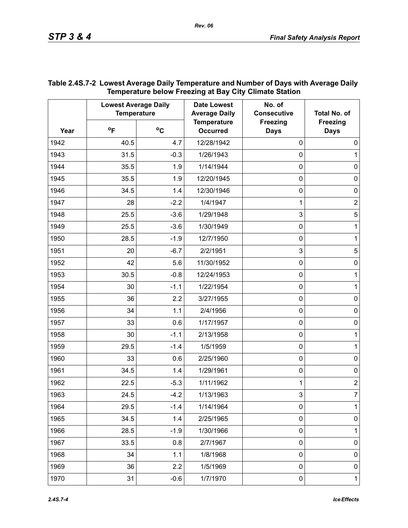|      | <b>Lowest Average Daily</b><br><b>Temperature</b> |        | <b>Date Lowest</b><br><b>Average Daily</b> | No. of<br><b>Consecutive</b>   | Total No. of                   |
|------|---------------------------------------------------|--------|--------------------------------------------|--------------------------------|--------------------------------|
| Year | $^{\circ}$ F                                      | °C     | <b>Temperature</b><br><b>Occurred</b>      | <b>Freezing</b><br><b>Days</b> | <b>Freezing</b><br><b>Days</b> |
| 1942 | 40.5                                              | 4.7    | 12/28/1942                                 | $\mathbf 0$                    | 0                              |
| 1943 | 31.5                                              | $-0.3$ | 1/26/1943                                  | $\mathbf 0$                    | 1                              |
| 1944 | 35.5                                              | 1.9    | 1/14/1944                                  | $\mathbf 0$                    | 0                              |
| 1945 | 35.5                                              | 1.9    | 12/20/1945                                 | $\mathbf 0$                    | 0                              |
| 1946 | 34.5                                              | 1.4    | 12/30/1946                                 | $\mathbf 0$                    | $\boldsymbol{0}$               |
| 1947 | 28                                                | $-2.2$ | 1/4/1947                                   | 1                              | $\mathbf 2$                    |
| 1948 | 25.5                                              | $-3.6$ | 1/29/1948                                  | 3                              | $\sqrt{5}$                     |
| 1949 | 25.5                                              | $-3.6$ | 1/30/1949                                  | $\mathbf 0$                    | 1                              |
| 1950 | 28.5                                              | $-1.9$ | 12/7/1950                                  | $\mathbf 0$                    | 1                              |
| 1951 | 20                                                | $-6.7$ | 2/2/1951                                   | 3                              | 5                              |
| 1952 | 42                                                | 5.6    | 11/30/1952                                 | $\mathbf 0$                    | 0                              |
| 1953 | 30.5                                              | $-0.8$ | 12/24/1953                                 | $\mathbf 0$                    | 1                              |
| 1954 | 30                                                | $-1.1$ | 1/22/1954                                  | $\mathbf 0$                    | 1                              |
| 1955 | 36                                                | 2.2    | 3/27/1955                                  | $\mathbf 0$                    | 0                              |
| 1956 | 34                                                | 1.1    | 2/4/1956                                   | $\mathbf 0$                    | 0                              |
| 1957 | 33                                                | 0.6    | 1/17/1957                                  | $\mathbf 0$                    | $\pmb{0}$                      |
| 1958 | 30                                                | $-1.1$ | 2/13/1958                                  | $\mathbf 0$                    | 1                              |
| 1959 | 29.5                                              | $-1.4$ | 1/5/1959                                   | $\mathbf 0$                    | 1                              |
| 1960 | 33                                                | 0.6    | 2/25/1960                                  | $\mathbf 0$                    | 0                              |
| 1961 | 34.5                                              | 1.4    | 1/29/1961                                  | $\mathbf 0$                    | $\pmb{0}$                      |
| 1962 | 22.5                                              | $-5.3$ | 1/11/1962                                  | 1                              | $\overline{c}$                 |
| 1963 | 24.5                                              | $-4.2$ | 1/13/1963                                  | 3                              | 7                              |
| 1964 | 29.5                                              | $-1.4$ | 1/14/1964                                  | $\mathbf 0$                    | 1                              |
| 1965 | 34.5                                              | 1.4    | 2/25/1965                                  | $\pmb{0}$                      | 0                              |
| 1966 | 28.5                                              | $-1.9$ | 1/30/1966                                  | $\mathbf 0$                    | 1                              |
| 1967 | 33.5                                              | 0.8    | 2/7/1967                                   | $\pmb{0}$                      | $\pmb{0}$                      |
| 1968 | 34                                                | 1.1    | 1/8/1968                                   | $\mathbf 0$                    | $\pmb{0}$                      |
| 1969 | 36                                                | 2.2    | 1/5/1969                                   | $\pmb{0}$                      | $\pmb{0}$                      |
| 1970 | 31                                                | $-0.6$ | 1/7/1970                                   | 0                              | $\mathbf{1}$                   |

## **Table 2.4S.7-2 Lowest Average Daily Temperature and Number of Days with Average Daily Temperature below Freezing at Bay City Climate Station**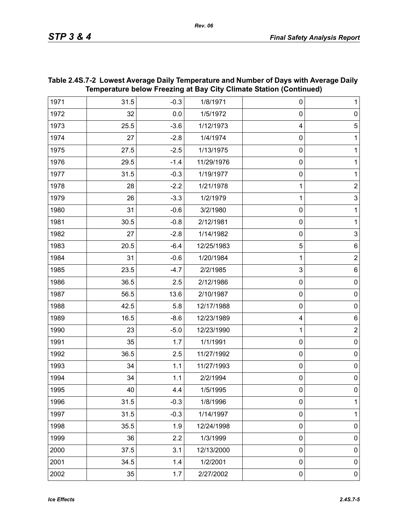| Temperature below Freezing at Bay City Climate Station (Continued) |      |        |            |              |                |
|--------------------------------------------------------------------|------|--------|------------|--------------|----------------|
| 1971                                                               | 31.5 | $-0.3$ | 1/8/1971   | 0            | $\mathbf 1$    |
| 1972                                                               | 32   | 0.0    | 1/5/1972   | $\mathbf 0$  | $\pmb{0}$      |
| 1973                                                               | 25.5 | $-3.6$ | 1/12/1973  | 4            | $\sqrt{5}$     |
| 1974                                                               | 27   | $-2.8$ | 1/4/1974   | $\mathbf 0$  | 1              |
| 1975                                                               | 27.5 | $-2.5$ | 1/13/1975  | $\mathbf 0$  | $\mathbf{1}$   |
| 1976                                                               | 29.5 | $-1.4$ | 11/29/1976 | $\mathbf 0$  | 1              |
| 1977                                                               | 31.5 | $-0.3$ | 1/19/1977  | $\mathbf 0$  | 1              |
| 1978                                                               | 28   | $-2.2$ | 1/21/1978  | 1            | $\mathbf 2$    |
| 1979                                                               | 26   | $-3.3$ | 1/2/1979   | 1            | $\overline{3}$ |
| 1980                                                               | 31   | $-0.6$ | 3/2/1980   | $\mathbf 0$  | 1              |
| 1981                                                               | 30.5 | $-0.8$ | 2/12/1981  | $\mathbf 0$  | $\mathbf{1}$   |
| 1982                                                               | 27   | $-2.8$ | 1/14/1982  | $\mathbf 0$  | $\mathsf 3$    |
| 1983                                                               | 20.5 | $-6.4$ | 12/25/1983 | 5            | $\,6$          |
| 1984                                                               | 31   | $-0.6$ | 1/20/1984  | 1            | $\mathbf 2$    |
| 1985                                                               | 23.5 | $-4.7$ | 2/2/1985   | $\mathbf{3}$ | 6              |
| 1986                                                               | 36.5 | 2.5    | 2/12/1986  | $\pmb{0}$    | $\pmb{0}$      |
| 1987                                                               | 56.5 | 13.6   | 2/10/1987  | $\mathbf 0$  | $\pmb{0}$      |
| 1988                                                               | 42.5 | 5.8    | 12/17/1988 | $\mathbf 0$  | $\pmb{0}$      |
| 1989                                                               | 16.5 | $-8.6$ | 12/23/1989 | 4            | $\,6$          |
| 1990                                                               | 23   | $-5.0$ | 12/23/1990 | 1            | $\overline{2}$ |
| 1991                                                               | 35   | 1.7    | 1/1/1991   | $\mathbf 0$  | $\pmb{0}$      |
| 1992                                                               | 36.5 | 2.5    | 11/27/1992 | $\mathbf 0$  | $\pmb{0}$      |
| 1993                                                               | 34   | 1.1    | 11/27/1993 | $\pmb{0}$    | $\pmb{0}$      |
| 1994                                                               | 34   | 1.1    | 2/2/1994   | $\mathbf 0$  | $\pmb{0}$      |
| 1995                                                               | 40   | 4.4    | 1/5/1995   | 0            | 0              |
| 1996                                                               | 31.5 | $-0.3$ | 1/8/1996   | $\mathbf 0$  | $\mathbf{1}$   |
| 1997                                                               | 31.5 | $-0.3$ | 1/14/1997  | $\pmb{0}$    | 1              |
| 1998                                                               | 35.5 | 1.9    | 12/24/1998 | $\mathbf 0$  | $\pmb{0}$      |
| 1999                                                               | 36   | 2.2    | 1/3/1999   | $\mathbf 0$  | $\pmb{0}$      |
| 2000                                                               | 37.5 | 3.1    | 12/13/2000 | $\mathbf 0$  | $\pmb{0}$      |
| 2001                                                               | 34.5 | 1.4    | 1/2/2001   | $\pmb{0}$    | $\pmb{0}$      |
| 2002                                                               | 35   | 1.7    | 2/27/2002  | $\pmb{0}$    | $\pmb{0}$      |

## **Table 2.4S.7-2 Lowest Average Daily Temperature and Number of Days with Average Daily Temperature below Freezing at Bay City Climate Station (Continued)**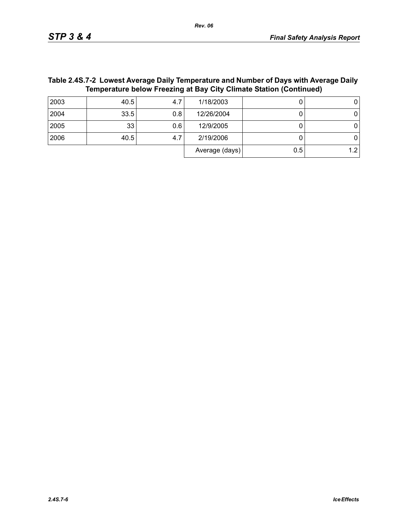Average  $(days)$  0.5 1.2

| $\mathbf{r}$ , and $\mathbf{r}$ and $\mathbf{r}$ and $\mathbf{r}$ and $\mathbf{r}$ and $\mathbf{r}$ and $\mathbf{r}$ and $\mathbf{r}$ and $\mathbf{r}$ and $\mathbf{r}$ and $\mathbf{r}$ and $\mathbf{r}$ and $\mathbf{r}$ and $\mathbf{r}$ and $\mathbf{r}$ and $\mathbf{r}$ and $\mathbf{r}$ an<br>Temperature below Freezing at Bay City Climate Station (Continued) |      |     |            |  |  |  |
|-------------------------------------------------------------------------------------------------------------------------------------------------------------------------------------------------------------------------------------------------------------------------------------------------------------------------------------------------------------------------|------|-----|------------|--|--|--|
| 2003                                                                                                                                                                                                                                                                                                                                                                    | 40.5 |     | 1/18/2003  |  |  |  |
| 2004                                                                                                                                                                                                                                                                                                                                                                    | 33.5 | 0.8 | 12/26/2004 |  |  |  |
| 2005                                                                                                                                                                                                                                                                                                                                                                    | 33   | 0.6 | 12/9/2005  |  |  |  |
| 2006                                                                                                                                                                                                                                                                                                                                                                    | 40.5 |     | 2/19/2006  |  |  |  |

# **Table 2.4S.7-2 Lowest Average Daily Temperature and Number of Days with Average Daily**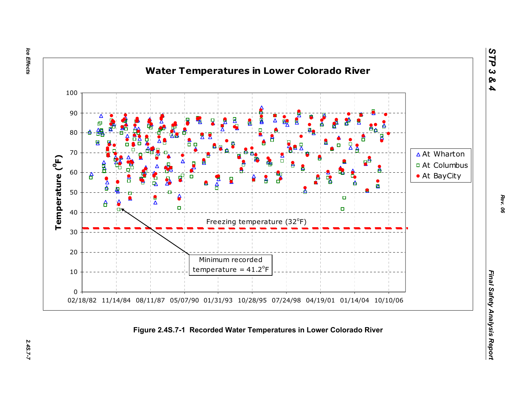Ice Effects *Ice Effects 2.4S.7-7*

2.45.7-7



*STP 3 & 4*